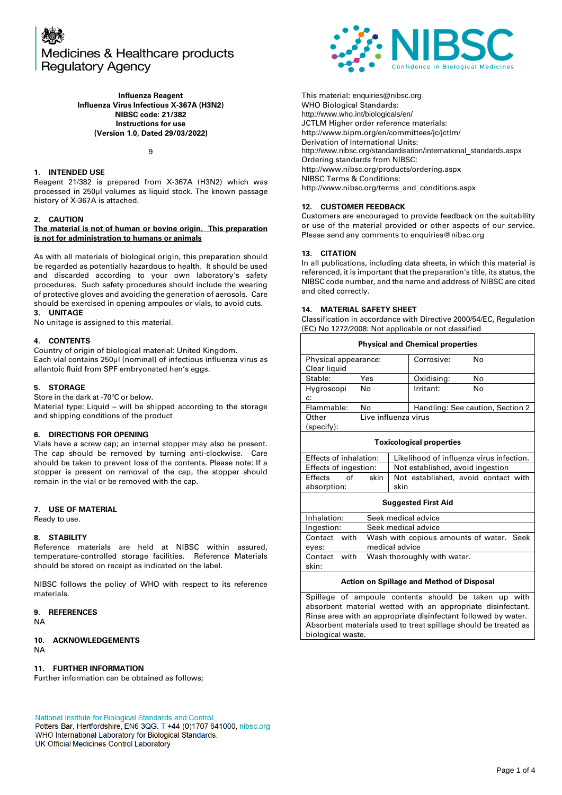

**Influenza Reagent Influenza Virus Infectious X-367A (H3N2) NIBSC code: 21/382 Instructions for use (Version 1.0, Dated 29/03/2022)**

 $\mathsf{o}$ 

#### **1. INTENDED USE**

Reagent 21/382 is prepared from X-367A (H3N2) which was processed in 250µl volumes as liquid stock. The known passage history of X-367A is attached.

#### **2. CAUTION**

#### **The material is not of human or bovine origin. This preparation is not for administration to humans or animals**

As with all materials of biological origin, this preparation should be regarded as potentially hazardous to health. It should be used and discarded according to your own laboratory's safety procedures. Such safety procedures should include the wearing of protective gloves and avoiding the generation of aerosols. Care should be exercised in opening ampoules or vials, to avoid cuts. **3. UNITAGE**

No unitage is assigned to this material.

#### **4. CONTENTS**

Country of origin of biological material: United Kingdom. Each vial contains 250µl (nominal) of infectious influenza virus as allantoic fluid from SPF embryonated hen's eggs.

#### **5. STORAGE**

Store in the dark at -70ºC or below.

Material type: Liquid – will be shipped according to the storage and shipping conditions of the product

#### **6. DIRECTIONS FOR OPENING**

Vials have a screw cap; an internal stopper may also be present. The cap should be removed by turning anti-clockwise. Care should be taken to prevent loss of the contents. Please note: If a stopper is present on removal of the cap, the stopper should remain in the vial or be removed with the cap.

#### **7. USE OF MATERIAL**

Ready to use.

#### **8. STABILITY**

Reference materials are held at NIBSC within assured, temperature-controlled storage facilities. Reference Materials should be stored on receipt as indicated on the label.

NIBSC follows the policy of WHO with respect to its reference materials.

#### **9. REFERENCES**

NA

#### **10. ACKNOWLEDGEMENTS** NA

#### **11. FURTHER INFORMATION**

Further information can be obtained as follows;

National Institute for Biological Standards and Control,

Potters Bar, Hertfordshire, EN6 3QG. T +44 (0)1707 641000, nibsc.org WHO International Laboratory for Biological Standards, UK Official Medicines Control Laboratory



This material: [enquiries@nibsc.org](mailto:enquiries@nibsc.org) WHO Biological Standards: <http://www.who.int/biologicals/en/> JCTLM Higher order reference materials: <http://www.bipm.org/en/committees/jc/jctlm/> Derivation of International Units: [http://www.nibsc.org/standardisation/international\\_standards.aspx](http://www.nibsc.org/standardisation/international_standards.aspx) Ordering standards from NIBSC: <http://www.nibsc.org/products/ordering.aspx> NIBSC Terms & Conditions: [http://www.nibsc.org/terms\\_and\\_conditions.aspx](http://www.nibsc.ac.uk/terms_and_conditions.aspx)

#### **12. CUSTOMER FEEDBACK**

Customers are encouraged to provide feedback on the suitability or use of the material provided or other aspects of our service. Please send any comments t[o enquiries@nibsc.org](mailto:enquiries@nibsc.org)

#### **13. CITATION**

In all publications, including data sheets, in which this material is referenced, it is important that the preparation's title, its status, the NIBSC code number, and the name and address of NIBSC are cited and cited correctly.

#### **14. MATERIAL SAFETY SHEET**

Classification in accordance with Directive 2000/54/EC, Regulation (EC) No 1272/2008: Not applicable or not classified

| <b>Physical and Chemical properties</b> |      |                      |                                          |                                     |  |  |  |
|-----------------------------------------|------|----------------------|------------------------------------------|-------------------------------------|--|--|--|
| Physical appearance:                    |      |                      | Corrosive:                               | No                                  |  |  |  |
| Clear liquid                            |      |                      |                                          |                                     |  |  |  |
| Stable:                                 | Yes  |                      | Oxidising:                               | No                                  |  |  |  |
| Hygroscopi                              | No   |                      | Irritant:                                | No                                  |  |  |  |
| c:                                      |      |                      |                                          |                                     |  |  |  |
| Flammable:                              | No   |                      | Handling: See caution, Section 2         |                                     |  |  |  |
| Other                                   |      | Live influenza virus |                                          |                                     |  |  |  |
| (specify):                              |      |                      |                                          |                                     |  |  |  |
| <b>Toxicological properties</b>         |      |                      |                                          |                                     |  |  |  |
| Effects of inhalation:                  |      |                      | Likelihood of influenza virus infection. |                                     |  |  |  |
| Effects of ingestion:                   |      |                      | Not established, avoid ingestion         |                                     |  |  |  |
| of<br>Effects                           | skin |                      |                                          | Not established, avoid contact with |  |  |  |
| absorption:                             |      |                      | skin                                     |                                     |  |  |  |
|                                         |      |                      |                                          |                                     |  |  |  |

#### **Suggested First Aid**

| Inhalation:     | Seek medical advice                      |  |  |  |  |
|-----------------|------------------------------------------|--|--|--|--|
| Ingestion:      | Seek medical advice                      |  |  |  |  |
| Contact<br>with | Wash with copious amounts of water. Seek |  |  |  |  |
| eyes:           | medical advice                           |  |  |  |  |
| with<br>Contact | Wash thoroughly with water.              |  |  |  |  |
| skin:           |                                          |  |  |  |  |

#### **Action on Spillage and Method of Disposal**

Spillage of ampoule contents should be taken up with absorbent material wetted with an appropriate disinfectant. Rinse area with an appropriate disinfectant followed by water. Absorbent materials used to treat spillage should be treated as biological waste.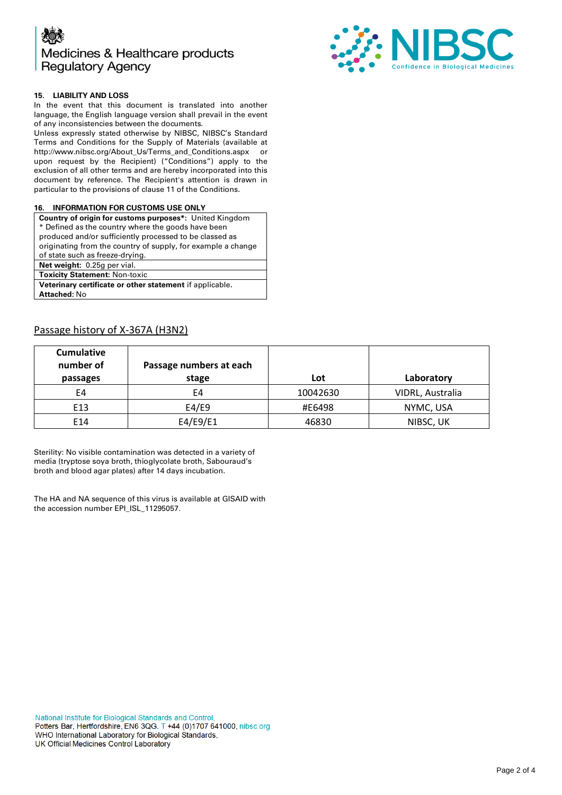



### **15. LIABILITY AND LOSS**

In the event that this document is translated into another language, the English language version shall prevail in the event of any inconsistencies between the documents.

Unless expressly stated otherwise by NIBSC, NIBSC's Standard Terms and Conditions for the Supply of Materials (available at [http://www.nibsc.org/About\\_Us/Terms\\_and\\_Conditions.aspx](http://www.nibsc.org/About_Us/Terms_and_Conditions.aspx) or upon request by the Recipient) ("Conditions") apply to the exclusion of all other terms and are hereby incorporated into this document by reference. The Recipient's attention is drawn in particular to the provisions of clause 11 of the Conditions.

#### **16. INFORMATION FOR CUSTOMS USE ONLY**

| <b>Country of origin for customs purposes*:</b> United Kingdom |  |  |  |  |
|----------------------------------------------------------------|--|--|--|--|
| * Defined as the country where the goods have been             |  |  |  |  |
| produced and/or sufficiently processed to be classed as        |  |  |  |  |
| originating from the country of supply, for example a change   |  |  |  |  |
| of state such as freeze-drying.                                |  |  |  |  |
| Net weight: 0.25g per vial.                                    |  |  |  |  |
| <b>Toxicity Statement: Non-toxic</b>                           |  |  |  |  |
| Veterinary certificate or other statement if applicable.       |  |  |  |  |
| <b>Attached: No</b>                                            |  |  |  |  |
|                                                                |  |  |  |  |

## Passage history of X-367A (H3N2)

| <b>Cumulative</b><br>number of<br>passages | Passage numbers at each<br>stage | Lot      | Laboratory       |
|--------------------------------------------|----------------------------------|----------|------------------|
| E4                                         | E4                               | 10042630 | VIDRL, Australia |
| E13                                        | E4/E9                            | #E6498   | NYMC, USA        |
| E14                                        | E4/E9/E1                         | 46830    | NIBSC, UK        |

Sterility: No visible contamination was detected in a variety of media (tryptose soya broth, thioglycolate broth, Sabouraud's broth and blood agar plates) after 14 days incubation.

The HA and NA sequence of this virus is available at GISAID with the accession number EPI\_ISL\_11295057.

National Institute for Biological Standards and Control, Potters Bar, Hertfordshire, EN6 3QG. T +44 (0)1707 641000, nibsc.org WHO International Laboratory for Biological Standards, UK Official Medicines Control Laboratory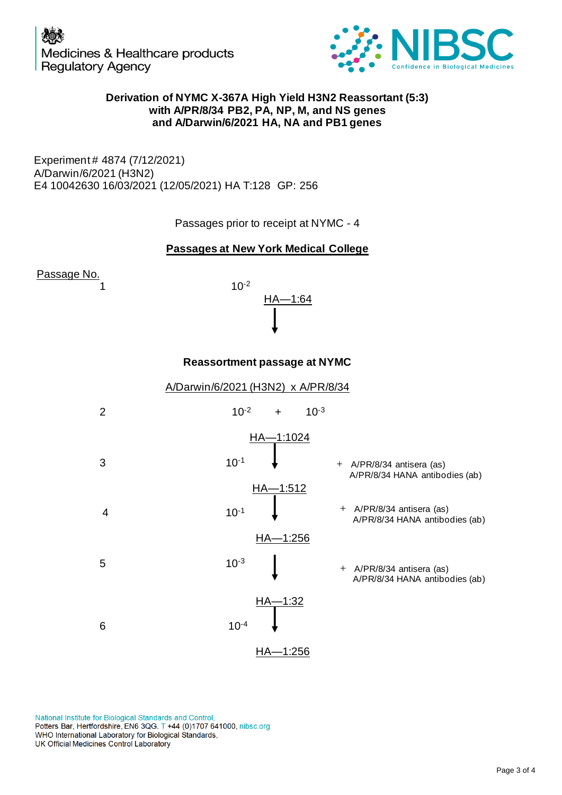

# **Derivation of NYMC X-367A High Yield H3N2 Reassortant (5:3) with A/PR/8/34 PB2, PA, NP, M, and NS geness and A/Darwin/6/2021 HA, NA and PB1 genes anda FR A/DARGINION CONTROVIDY**<br> **A/Darwin/6/2021** HA, NP, M, and NS genes<br>
and A/Darwin/6/2021 HA, NA and PB1 genes

Experiment # 4874 (7/12/2021) A/Darwin/6/2021 (H3N2) E4 10042630 16/03/2021 (12/05/2021) HA T:128 GP: 256

Passages prior to receipt at NYMC - 4





# **Reassortment passage at NYMC**



National Institute for Biological Standards and Control, Potters Bar, Hertfordshire, EN6 3QG. T +44 (0)1707 641000, nibsc.org WHO International Laboratory for Biological Standards, UK Official Medicines Control Laboratory